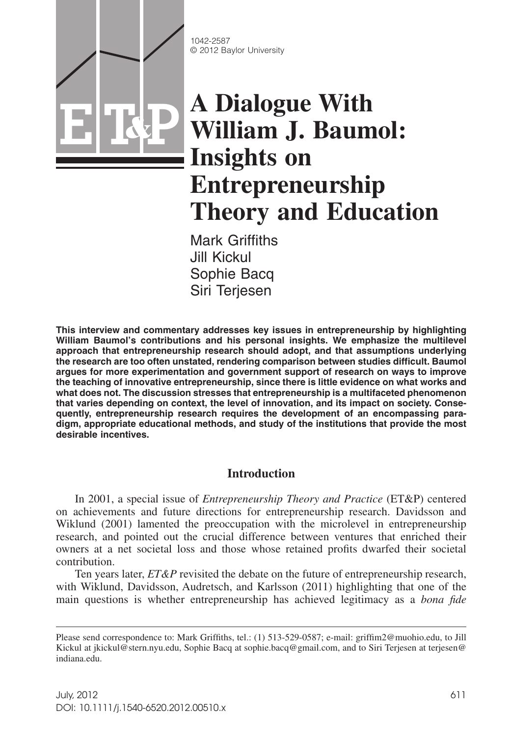1042-2587 © 2012 Baylor University

**E T&P**

# **A Dialogue With William J. Baumol: Insights on Entrepreneurship Theory and Education**

Mark Griffiths Jill Kickul Sophie Bacq Siri Terjesen

**This interview and commentary addresses key issues in entrepreneurship by highlighting William Baumol's contributions and his personal insights. We emphasize the multilevel approach that entrepreneurship research should adopt, and that assumptions underlying the research are too often unstated, rendering comparison between studies difficult. Baumol argues for more experimentation and government support of research on ways to improve the teaching of innovative entrepreneurship, since there is little evidence on what works and what does not. The discussion stresses that entrepreneurship is a multifaceted phenomenon that varies depending on context, the level of innovation, and its impact on society. Consequently, entrepreneurship research requires the development of an encompassing paradigm, appropriate educational methods, and study of the institutions that provide the most desirable incentives.**

## **Introduction**

In 2001, a special issue of *Entrepreneurship Theory and Practice* (ET&P) centered on achievements and future directions for entrepreneurship research. Davidsson and Wiklund (2001) lamented the preoccupation with the microlevel in entrepreneurship research, and pointed out the crucial difference between ventures that enriched their owners at a net societal loss and those whose retained profits dwarfed their societal contribution.

Ten years later, *ET&P* revisited the debate on the future of entrepreneurship research, with Wiklund, Davidsson, Audretsch, and Karlsson (2011) highlighting that one of the main questions is whether entrepreneurship has achieved legitimacy as a *bona fide*

Please send correspondence to: Mark Griffiths, tel.: (1) 513-529-0587; e-mail: griffim2@muohio.edu, to Jill Kickul at jkickul@stern.nyu.edu, Sophie Bacq at sophie.bacq@gmail.com, and to Siri Terjesen at terjesen@ indiana.edu.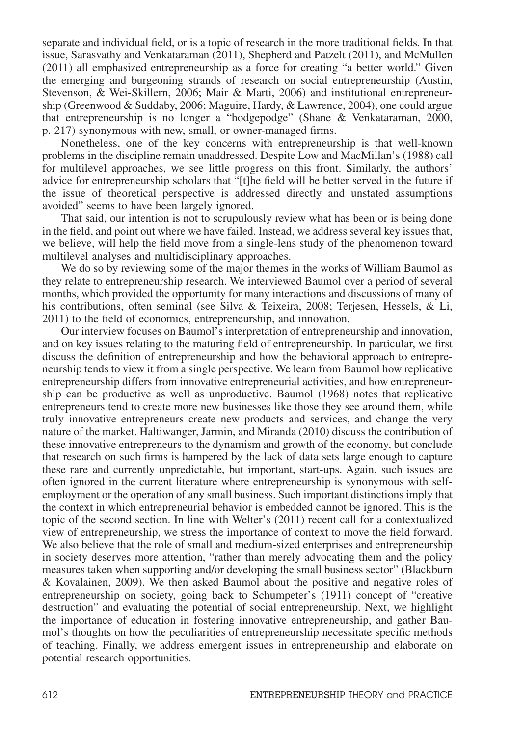separate and individual field, or is a topic of research in the more traditional fields. In that issue, Sarasvathy and Venkataraman (2011), Shepherd and Patzelt (2011), and McMullen (2011) all emphasized entrepreneurship as a force for creating "a better world." Given the emerging and burgeoning strands of research on social entrepreneurship (Austin, Stevenson, & Wei-Skillern, 2006; Mair & Marti, 2006) and institutional entrepreneurship (Greenwood & Suddaby, 2006; Maguire, Hardy, & Lawrence, 2004), one could argue that entrepreneurship is no longer a "hodgepodge" (Shane & Venkataraman, 2000, p. 217) synonymous with new, small, or owner-managed firms.

Nonetheless, one of the key concerns with entrepreneurship is that well-known problems in the discipline remain unaddressed. Despite Low and MacMillan's (1988) call for multilevel approaches, we see little progress on this front. Similarly, the authors' advice for entrepreneurship scholars that "[t]he field will be better served in the future if the issue of theoretical perspective is addressed directly and unstated assumptions avoided" seems to have been largely ignored.

That said, our intention is not to scrupulously review what has been or is being done in the field, and point out where we have failed. Instead, we address several key issues that, we believe, will help the field move from a single-lens study of the phenomenon toward multilevel analyses and multidisciplinary approaches.

We do so by reviewing some of the major themes in the works of William Baumol as they relate to entrepreneurship research. We interviewed Baumol over a period of several months, which provided the opportunity for many interactions and discussions of many of his contributions, often seminal (see Silva & Teixeira, 2008; Terjesen, Hessels, & Li, 2011) to the field of economics, entrepreneurship, and innovation.

Our interview focuses on Baumol's interpretation of entrepreneurship and innovation, and on key issues relating to the maturing field of entrepreneurship. In particular, we first discuss the definition of entrepreneurship and how the behavioral approach to entrepreneurship tends to view it from a single perspective. We learn from Baumol how replicative entrepreneurship differs from innovative entrepreneurial activities, and how entrepreneurship can be productive as well as unproductive. Baumol (1968) notes that replicative entrepreneurs tend to create more new businesses like those they see around them, while truly innovative entrepreneurs create new products and services, and change the very nature of the market. Haltiwanger, Jarmin, and Miranda (2010) discuss the contribution of these innovative entrepreneurs to the dynamism and growth of the economy, but conclude that research on such firms is hampered by the lack of data sets large enough to capture these rare and currently unpredictable, but important, start-ups. Again, such issues are often ignored in the current literature where entrepreneurship is synonymous with selfemployment or the operation of any small business. Such important distinctions imply that the context in which entrepreneurial behavior is embedded cannot be ignored. This is the topic of the second section. In line with Welter's (2011) recent call for a contextualized view of entrepreneurship, we stress the importance of context to move the field forward. We also believe that the role of small and medium-sized enterprises and entrepreneurship in society deserves more attention, "rather than merely advocating them and the policy measures taken when supporting and/or developing the small business sector" (Blackburn & Kovalainen, 2009). We then asked Baumol about the positive and negative roles of entrepreneurship on society, going back to Schumpeter's (1911) concept of "creative destruction" and evaluating the potential of social entrepreneurship. Next, we highlight the importance of education in fostering innovative entrepreneurship, and gather Baumol's thoughts on how the peculiarities of entrepreneurship necessitate specific methods of teaching. Finally, we address emergent issues in entrepreneurship and elaborate on potential research opportunities.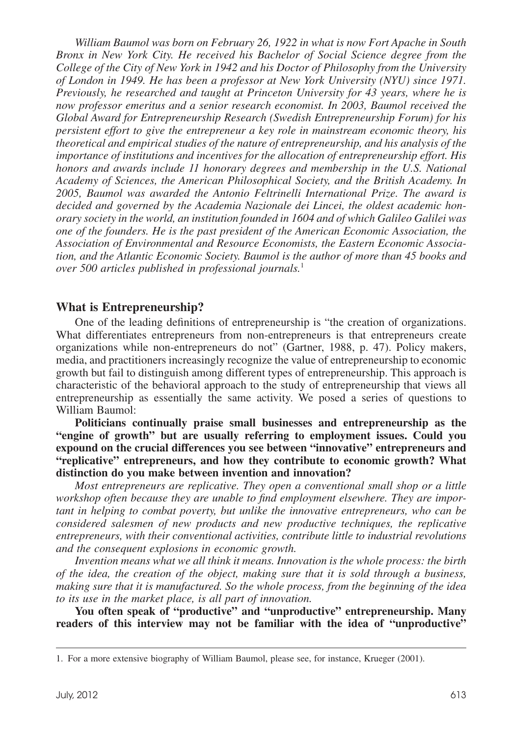*William Baumol was born on February 26, 1922 in what is now Fort Apache in South Bronx in New York City. He received his Bachelor of Social Science degree from the College of the City of New York in 1942 and his Doctor of Philosophy from the University of London in 1949. He has been a professor at New York University (NYU) since 1971. Previously, he researched and taught at Princeton University for 43 years, where he is now professor emeritus and a senior research economist. In 2003, Baumol received the Global Award for Entrepreneurship Research (Swedish Entrepreneurship Forum) for his persistent effort to give the entrepreneur a key role in mainstream economic theory, his theoretical and empirical studies of the nature of entrepreneurship, and his analysis of the importance of institutions and incentives for the allocation of entrepreneurship effort. His honors and awards include 11 honorary degrees and membership in the U.S. National Academy of Sciences, the American Philosophical Society, and the British Academy. In 2005, Baumol was awarded the Antonio Feltrinelli International Prize. The award is decided and governed by the Academia Nazionale dei Lincei, the oldest academic honorary society in the world, an institution founded in 1604 and of which Galileo Galilei was one of the founders. He is the past president of the American Economic Association, the Association of Environmental and Resource Economists, the Eastern Economic Association, and the Atlantic Economic Society. Baumol is the author of more than 45 books and over 500 articles published in professional journals.*<sup>1</sup>

#### **What is Entrepreneurship?**

One of the leading definitions of entrepreneurship is "the creation of organizations. What differentiates entrepreneurs from non-entrepreneurs is that entrepreneurs create organizations while non-entrepreneurs do not" (Gartner, 1988, p. 47). Policy makers, media, and practitioners increasingly recognize the value of entrepreneurship to economic growth but fail to distinguish among different types of entrepreneurship. This approach is characteristic of the behavioral approach to the study of entrepreneurship that views all entrepreneurship as essentially the same activity. We posed a series of questions to William Baumol:

**Politicians continually praise small businesses and entrepreneurship as the "engine of growth" but are usually referring to employment issues. Could you expound on the crucial differences you see between "innovative" entrepreneurs and "replicative" entrepreneurs, and how they contribute to economic growth? What distinction do you make between invention and innovation?**

*Most entrepreneurs are replicative. They open a conventional small shop or a little workshop often because they are unable to find employment elsewhere. They are important in helping to combat poverty, but unlike the innovative entrepreneurs, who can be considered salesmen of new products and new productive techniques, the replicative entrepreneurs, with their conventional activities, contribute little to industrial revolutions and the consequent explosions in economic growth.*

*Invention means what we all think it means. Innovation is the whole process: the birth of the idea, the creation of the object, making sure that it is sold through a business, making sure that it is manufactured. So the whole process, from the beginning of the idea to its use in the market place, is all part of innovation.*

**You often speak of "productive" and "unproductive" entrepreneurship. Many readers of this interview may not be familiar with the idea of "unproductive"**

<sup>1.</sup> For a more extensive biography of William Baumol, please see, for instance, Krueger (2001).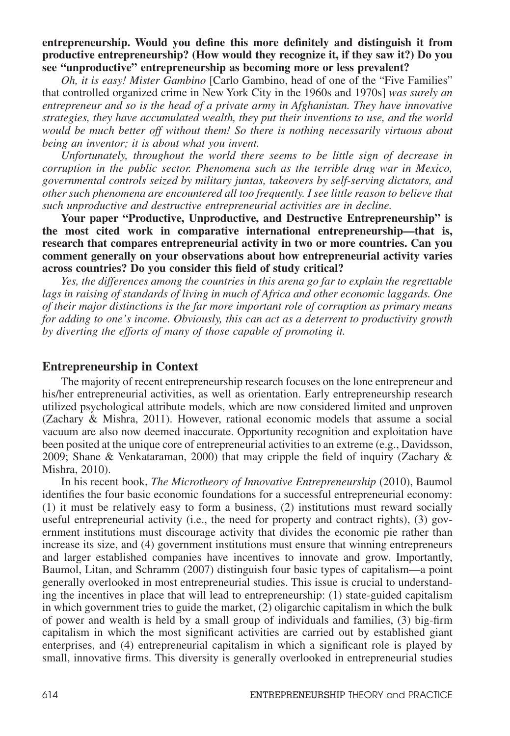**entrepreneurship. Would you define this more definitely and distinguish it from productive entrepreneurship? (How would they recognize it, if they saw it?) Do you see "unproductive" entrepreneurship as becoming more or less prevalent?**

*Oh, it is easy! Mister Gambino* [Carlo Gambino, head of one of the "Five Families" that controlled organized crime in New York City in the 1960s and 1970s] *was surely an entrepreneur and so is the head of a private army in Afghanistan. They have innovative strategies, they have accumulated wealth, they put their inventions to use, and the world would be much better off without them! So there is nothing necessarily virtuous about being an inventor; it is about what you invent.*

*Unfortunately, throughout the world there seems to be little sign of decrease in corruption in the public sector. Phenomena such as the terrible drug war in Mexico, governmental controls seized by military juntas, takeovers by self-serving dictators, and other such phenomena are encountered all too frequently. I see little reason to believe that such unproductive and destructive entrepreneurial activities are in decline.*

**Your paper "Productive, Unproductive, and Destructive Entrepreneurship" is the most cited work in comparative international entrepreneurship—that is, research that compares entrepreneurial activity in two or more countries. Can you comment generally on your observations about how entrepreneurial activity varies across countries? Do you consider this field of study critical?**

*Yes, the differences among the countries in this arena go far to explain the regrettable lags in raising of standards of living in much of Africa and other economic laggards. One of their major distinctions is the far more important role of corruption as primary means for adding to one's income. Obviously, this can act as a deterrent to productivity growth by diverting the efforts of many of those capable of promoting it.*

#### **Entrepreneurship in Context**

The majority of recent entrepreneurship research focuses on the lone entrepreneur and his/her entrepreneurial activities, as well as orientation. Early entrepreneurship research utilized psychological attribute models, which are now considered limited and unproven (Zachary & Mishra, 2011). However, rational economic models that assume a social vacuum are also now deemed inaccurate. Opportunity recognition and exploitation have been posited at the unique core of entrepreneurial activities to an extreme (e.g., Davidsson, 2009; Shane & Venkataraman, 2000) that may cripple the field of inquiry (Zachary  $\&$ Mishra, 2010).

In his recent book, *The Microtheory of Innovative Entrepreneurship* (2010), Baumol identifies the four basic economic foundations for a successful entrepreneurial economy: (1) it must be relatively easy to form a business, (2) institutions must reward socially useful entrepreneurial activity (i.e., the need for property and contract rights), (3) government institutions must discourage activity that divides the economic pie rather than increase its size, and (4) government institutions must ensure that winning entrepreneurs and larger established companies have incentives to innovate and grow. Importantly, Baumol, Litan, and Schramm (2007) distinguish four basic types of capitalism—a point generally overlooked in most entrepreneurial studies. This issue is crucial to understanding the incentives in place that will lead to entrepreneurship: (1) state-guided capitalism in which government tries to guide the market, (2) oligarchic capitalism in which the bulk of power and wealth is held by a small group of individuals and families, (3) big-firm capitalism in which the most significant activities are carried out by established giant enterprises, and (4) entrepreneurial capitalism in which a significant role is played by small, innovative firms. This diversity is generally overlooked in entrepreneurial studies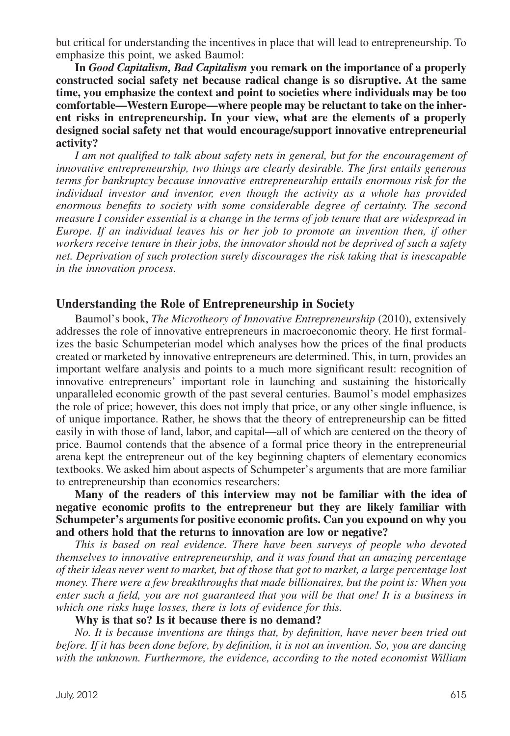but critical for understanding the incentives in place that will lead to entrepreneurship. To emphasize this point, we asked Baumol:

**In** *Good Capitalism, Bad Capitalism* **you remark on the importance of a properly constructed social safety net because radical change is so disruptive. At the same time, you emphasize the context and point to societies where individuals may be too comfortable—Western Europe—where people may be reluctant to take on the inherent risks in entrepreneurship. In your view, what are the elements of a properly designed social safety net that would encourage/support innovative entrepreneurial activity?**

*I am not qualified to talk about safety nets in general, but for the encouragement of innovative entrepreneurship, two things are clearly desirable. The first entails generous terms for bankruptcy because innovative entrepreneurship entails enormous risk for the individual investor and inventor, even though the activity as a whole has provided enormous benefits to society with some considerable degree of certainty. The second measure I consider essential is a change in the terms of job tenure that are widespread in Europe. If an individual leaves his or her job to promote an invention then, if other workers receive tenure in their jobs, the innovator should not be deprived of such a safety net. Deprivation of such protection surely discourages the risk taking that is inescapable in the innovation process.*

#### **Understanding the Role of Entrepreneurship in Society**

Baumol's book, *The Microtheory of Innovative Entrepreneurship* (2010), extensively addresses the role of innovative entrepreneurs in macroeconomic theory. He first formalizes the basic Schumpeterian model which analyses how the prices of the final products created or marketed by innovative entrepreneurs are determined. This, in turn, provides an important welfare analysis and points to a much more significant result: recognition of innovative entrepreneurs' important role in launching and sustaining the historically unparalleled economic growth of the past several centuries. Baumol's model emphasizes the role of price; however, this does not imply that price, or any other single influence, is of unique importance. Rather, he shows that the theory of entrepreneurship can be fitted easily in with those of land, labor, and capital—all of which are centered on the theory of price. Baumol contends that the absence of a formal price theory in the entrepreneurial arena kept the entrepreneur out of the key beginning chapters of elementary economics textbooks. We asked him about aspects of Schumpeter's arguments that are more familiar to entrepreneurship than economics researchers:

**Many of the readers of this interview may not be familiar with the idea of negative economic profits to the entrepreneur but they are likely familiar with Schumpeter's arguments for positive economic profits. Can you expound on why you and others hold that the returns to innovation are low or negative?**

*This is based on real evidence. There have been surveys of people who devoted themselves to innovative entrepreneurship, and it was found that an amazing percentage of their ideas never went to market, but of those that got to market, a large percentage lost money. There were a few breakthroughs that made billionaires, but the point is: When you enter such a field, you are not guaranteed that you will be that one! It is a business in which one risks huge losses, there is lots of evidence for this.*

**Why is that so? Is it because there is no demand?**

*No. It is because inventions are things that, by definition, have never been tried out before. If it has been done before, by definition, it is not an invention. So, you are dancing with the unknown. Furthermore, the evidence, according to the noted economist William*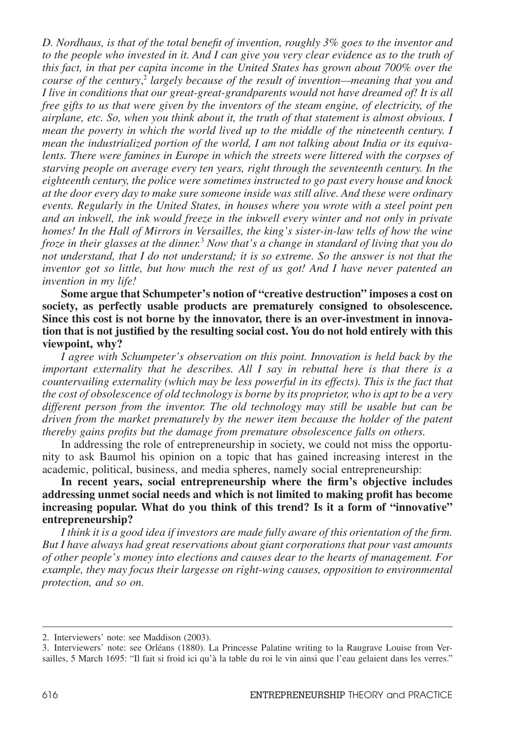*D. Nordhaus, is that of the total benefit of invention, roughly 3% goes to the inventor and to the people who invested in it. And I can give you very clear evidence as to the truth of this fact, in that per capita income in the United States has grown about 700% over the course of the century*, <sup>2</sup> *largely because of the result of invention—meaning that you and I live in conditions that our great-great-grandparents would not have dreamed of! It is all free gifts to us that were given by the inventors of the steam engine, of electricity, of the airplane, etc. So, when you think about it, the truth of that statement is almost obvious. I mean the poverty in which the world lived up to the middle of the nineteenth century. I mean the industrialized portion of the world, I am not talking about India or its equivalents. There were famines in Europe in which the streets were littered with the corpses of starving people on average every ten years, right through the seventeenth century. In the eighteenth century, the police were sometimes instructed to go past every house and knock at the door every day to make sure someone inside was still alive. And these were ordinary events. Regularly in the United States, in houses where you wrote with a steel point pen and an inkwell, the ink would freeze in the inkwell every winter and not only in private homes! In the Hall of Mirrors in Versailles, the king's sister-in-law tells of how the wine froze in their glasses at the dinner.*<sup>3</sup> *Now that's a change in standard of living that you do not understand, that I do not understand; it is so extreme. So the answer is not that the inventor got so little, but how much the rest of us got! And I have never patented an invention in my life!*

**Some argue that Schumpeter's notion of "creative destruction" imposes a cost on society, as perfectly usable products are prematurely consigned to obsolescence. Since this cost is not borne by the innovator, there is an over-investment in innovation that is not justified by the resulting social cost. You do not hold entirely with this viewpoint, why?**

*I agree with Schumpeter's observation on this point. Innovation is held back by the important externality that he describes. All I say in rebuttal here is that there is a countervailing externality (which may be less powerful in its effects). This is the fact that the cost of obsolescence of old technology is borne by its proprietor, who is apt to be a very different person from the inventor. The old technology may still be usable but can be driven from the market prematurely by the newer item because the holder of the patent thereby gains profits but the damage from premature obsolescence falls on others.*

In addressing the role of entrepreneurship in society, we could not miss the opportunity to ask Baumol his opinion on a topic that has gained increasing interest in the academic, political, business, and media spheres, namely social entrepreneurship:

**In recent years, social entrepreneurship where the firm's objective includes addressing unmet social needs and which is not limited to making profit has become increasing popular. What do you think of this trend? Is it a form of "innovative" entrepreneurship?**

*I think it is a good idea if investors are made fully aware of this orientation of the firm. But I have always had great reservations about giant corporations that pour vast amounts of other people's money into elections and causes dear to the hearts of management. For example, they may focus their largesse on right-wing causes, opposition to environmental protection, and so on.*

<sup>2.</sup> Interviewers' note: see Maddison (2003).

<sup>3.</sup> Interviewers' note: see Orléans (1880). La Princesse Palatine writing to la Raugrave Louise from Versailles, 5 March 1695: "Il fait si froid ici qu'à la table du roi le vin ainsi que l'eau gelaient dans les verres."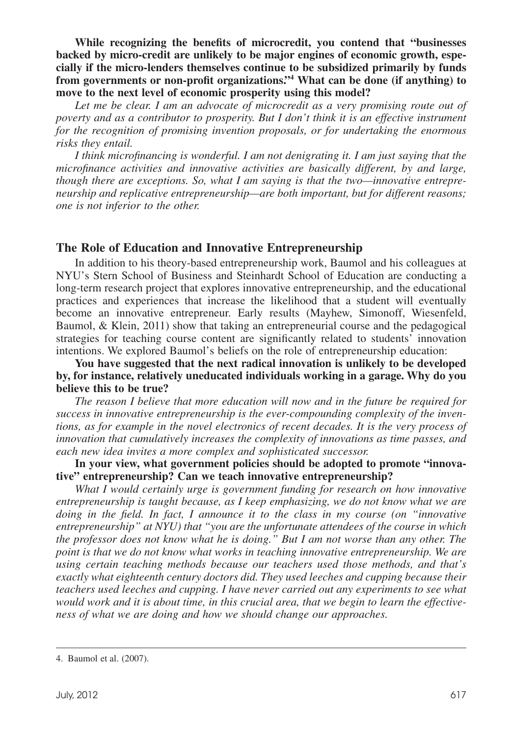**While recognizing the benefits of microcredit, you contend that "businesses backed by micro-credit are unlikely to be major engines of economic growth, especially if the micro-lenders themselves continue to be subsidized primarily by funds from governments or non-profit organizations."4 What can be done (if anything) to move to the next level of economic prosperity using this model?**

*Let me be clear. I am an advocate of microcredit as a very promising route out of poverty and as a contributor to prosperity. But I don't think it is an effective instrument for the recognition of promising invention proposals, or for undertaking the enormous risks they entail.*

*I think microfinancing is wonderful. I am not denigrating it. I am just saying that the microfinance activities and innovative activities are basically different, by and large, though there are exceptions. So, what I am saying is that the two—innovative entrepreneurship and replicative entrepreneurship—are both important, but for different reasons; one is not inferior to the other.*

### **The Role of Education and Innovative Entrepreneurship**

In addition to his theory-based entrepreneurship work, Baumol and his colleagues at NYU's Stern School of Business and Steinhardt School of Education are conducting a long-term research project that explores innovative entrepreneurship, and the educational practices and experiences that increase the likelihood that a student will eventually become an innovative entrepreneur. Early results (Mayhew, Simonoff, Wiesenfeld, Baumol, & Klein, 2011) show that taking an entrepreneurial course and the pedagogical strategies for teaching course content are significantly related to students' innovation intentions. We explored Baumol's beliefs on the role of entrepreneurship education:

**You have suggested that the next radical innovation is unlikely to be developed by, for instance, relatively uneducated individuals working in a garage. Why do you believe this to be true?**

*The reason I believe that more education will now and in the future be required for success in innovative entrepreneurship is the ever-compounding complexity of the inventions, as for example in the novel electronics of recent decades. It is the very process of innovation that cumulatively increases the complexity of innovations as time passes, and each new idea invites a more complex and sophisticated successor.*

**In your view, what government policies should be adopted to promote "innovative" entrepreneurship? Can we teach innovative entrepreneurship?**

*What I would certainly urge is government funding for research on how innovative entrepreneurship is taught because, as I keep emphasizing, we do not know what we are doing in the field. In fact, I announce it to the class in my course (on "innovative entrepreneurship" at NYU) that "you are the unfortunate attendees of the course in which the professor does not know what he is doing." But I am not worse than any other. The point is that we do not know what works in teaching innovative entrepreneurship. We are using certain teaching methods because our teachers used those methods, and that's exactly what eighteenth century doctors did. They used leeches and cupping because their teachers used leeches and cupping. I have never carried out any experiments to see what would work and it is about time, in this crucial area, that we begin to learn the effectiveness of what we are doing and how we should change our approaches.*

<sup>4.</sup> Baumol et al. (2007).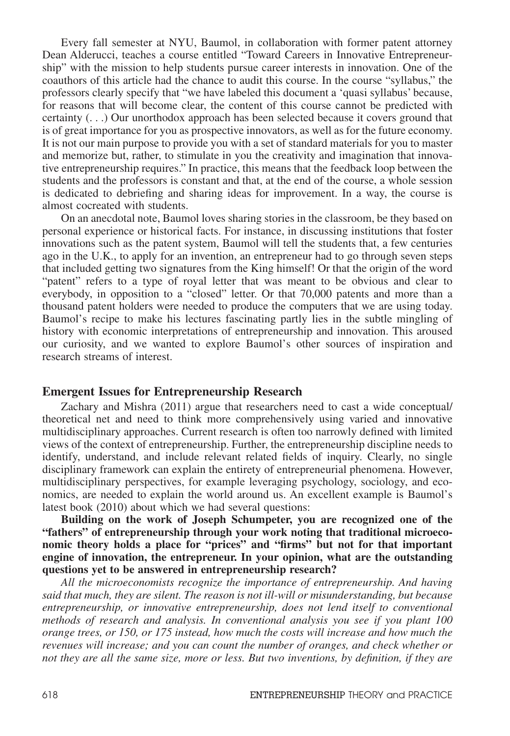Every fall semester at NYU, Baumol, in collaboration with former patent attorney Dean Alderucci, teaches a course entitled "Toward Careers in Innovative Entrepreneurship" with the mission to help students pursue career interests in innovation. One of the coauthors of this article had the chance to audit this course. In the course "syllabus," the professors clearly specify that "we have labeled this document a 'quasi syllabus' because, for reasons that will become clear, the content of this course cannot be predicted with certainty (. . .) Our unorthodox approach has been selected because it covers ground that is of great importance for you as prospective innovators, as well as for the future economy. It is not our main purpose to provide you with a set of standard materials for you to master and memorize but, rather, to stimulate in you the creativity and imagination that innovative entrepreneurship requires." In practice, this means that the feedback loop between the students and the professors is constant and that, at the end of the course, a whole session is dedicated to debriefing and sharing ideas for improvement. In a way, the course is almost cocreated with students.

On an anecdotal note, Baumol loves sharing stories in the classroom, be they based on personal experience or historical facts. For instance, in discussing institutions that foster innovations such as the patent system, Baumol will tell the students that, a few centuries ago in the U.K., to apply for an invention, an entrepreneur had to go through seven steps that included getting two signatures from the King himself! Or that the origin of the word "patent" refers to a type of royal letter that was meant to be obvious and clear to everybody, in opposition to a "closed" letter. Or that 70,000 patents and more than a thousand patent holders were needed to produce the computers that we are using today. Baumol's recipe to make his lectures fascinating partly lies in the subtle mingling of history with economic interpretations of entrepreneurship and innovation. This aroused our curiosity, and we wanted to explore Baumol's other sources of inspiration and research streams of interest.

#### **Emergent Issues for Entrepreneurship Research**

Zachary and Mishra (2011) argue that researchers need to cast a wide conceptual/ theoretical net and need to think more comprehensively using varied and innovative multidisciplinary approaches. Current research is often too narrowly defined with limited views of the context of entrepreneurship. Further, the entrepreneurship discipline needs to identify, understand, and include relevant related fields of inquiry. Clearly, no single disciplinary framework can explain the entirety of entrepreneurial phenomena. However, multidisciplinary perspectives, for example leveraging psychology, sociology, and economics, are needed to explain the world around us. An excellent example is Baumol's latest book (2010) about which we had several questions:

**Building on the work of Joseph Schumpeter, you are recognized one of the "fathers" of entrepreneurship through your work noting that traditional microeconomic theory holds a place for "prices" and "firms" but not for that important engine of innovation, the entrepreneur. In your opinion, what are the outstanding questions yet to be answered in entrepreneurship research?**

*All the microeconomists recognize the importance of entrepreneurship. And having said that much, they are silent. The reason is not ill-will or misunderstanding, but because entrepreneurship, or innovative entrepreneurship, does not lend itself to conventional methods of research and analysis. In conventional analysis you see if you plant 100 orange trees, or 150, or 175 instead, how much the costs will increase and how much the revenues will increase; and you can count the number of oranges, and check whether or not they are all the same size, more or less. But two inventions, by definition, if they are*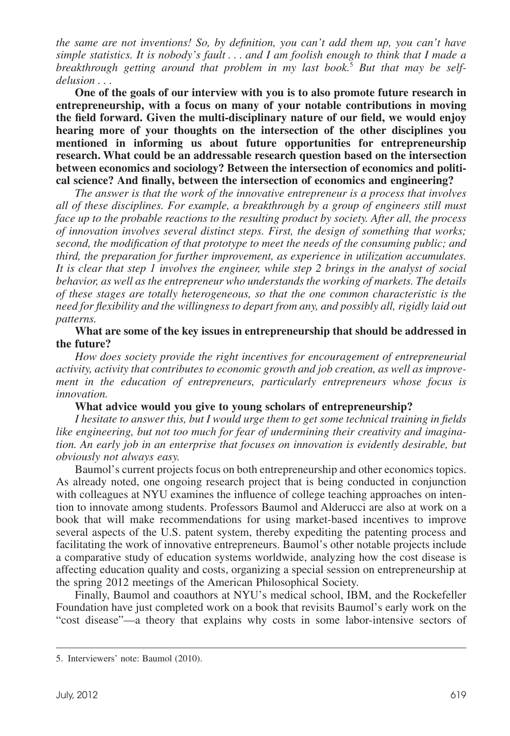*the same are not inventions! So, by definition, you can't add them up, you can't have simple statistics. It is nobody's fault . . . and I am foolish enough to think that I made a breakthrough getting around that problem in my last book.*<sup>5</sup> *But that may be selfdelusion...*

**One of the goals of our interview with you is to also promote future research in entrepreneurship, with a focus on many of your notable contributions in moving the field forward. Given the multi-disciplinary nature of our field, we would enjoy hearing more of your thoughts on the intersection of the other disciplines you mentioned in informing us about future opportunities for entrepreneurship research. What could be an addressable research question based on the intersection between economics and sociology? Between the intersection of economics and political science? And finally, between the intersection of economics and engineering?**

*The answer is that the work of the innovative entrepreneur is a process that involves all of these disciplines. For example, a breakthrough by a group of engineers still must face up to the probable reactions to the resulting product by society. After all, the process of innovation involves several distinct steps. First, the design of something that works; second, the modification of that prototype to meet the needs of the consuming public; and third, the preparation for further improvement, as experience in utilization accumulates. It is clear that step 1 involves the engineer, while step 2 brings in the analyst of social behavior, as well as the entrepreneur who understands the working of markets. The details of these stages are totally heterogeneous, so that the one common characteristic is the need for flexibility and the willingness to depart from any, and possibly all, rigidly laid out patterns.*

#### **What are some of the key issues in entrepreneurship that should be addressed in the future?**

*How does society provide the right incentives for encouragement of entrepreneurial activity, activity that contributes to economic growth and job creation, as well as improvement in the education of entrepreneurs, particularly entrepreneurs whose focus is innovation.*

#### **What advice would you give to young scholars of entrepreneurship?**

*I hesitate to answer this, but I would urge them to get some technical training in fields like engineering, but not too much for fear of undermining their creativity and imagination. An early job in an enterprise that focuses on innovation is evidently desirable, but obviously not always easy.*

Baumol's current projects focus on both entrepreneurship and other economics topics. As already noted, one ongoing research project that is being conducted in conjunction with colleagues at NYU examines the influence of college teaching approaches on intention to innovate among students. Professors Baumol and Alderucci are also at work on a book that will make recommendations for using market-based incentives to improve several aspects of the U.S. patent system, thereby expediting the patenting process and facilitating the work of innovative entrepreneurs. Baumol's other notable projects include a comparative study of education systems worldwide, analyzing how the cost disease is affecting education quality and costs, organizing a special session on entrepreneurship at the spring 2012 meetings of the American Philosophical Society.

Finally, Baumol and coauthors at NYU's medical school, IBM, and the Rockefeller Foundation have just completed work on a book that revisits Baumol's early work on the "cost disease"—a theory that explains why costs in some labor-intensive sectors of

<sup>5.</sup> Interviewers' note: Baumol (2010).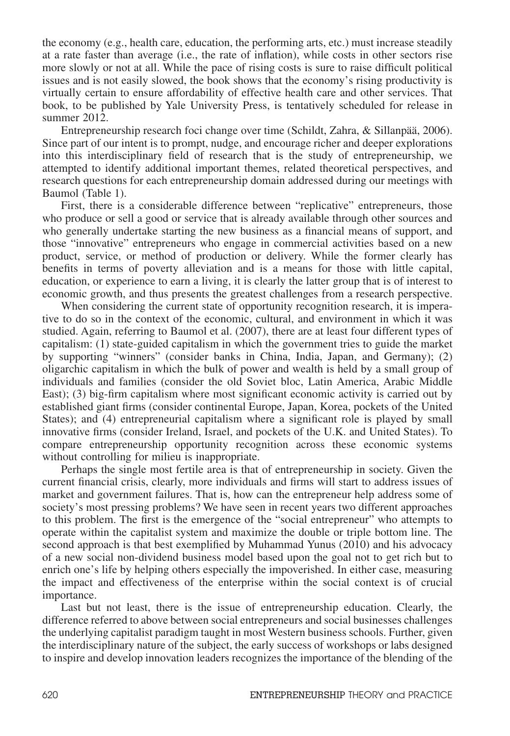the economy (e.g., health care, education, the performing arts, etc.) must increase steadily at a rate faster than average (i.e., the rate of inflation), while costs in other sectors rise more slowly or not at all. While the pace of rising costs is sure to raise difficult political issues and is not easily slowed, the book shows that the economy's rising productivity is virtually certain to ensure affordability of effective health care and other services. That book, to be published by Yale University Press, is tentatively scheduled for release in summer 2012.

Entrepreneurship research foci change over time (Schildt, Zahra, & Sillanpää, 2006). Since part of our intent is to prompt, nudge, and encourage richer and deeper explorations into this interdisciplinary field of research that is the study of entrepreneurship, we attempted to identify additional important themes, related theoretical perspectives, and research questions for each entrepreneurship domain addressed during our meetings with Baumol (Table 1).

First, there is a considerable difference between "replicative" entrepreneurs, those who produce or sell a good or service that is already available through other sources and who generally undertake starting the new business as a financial means of support, and those "innovative" entrepreneurs who engage in commercial activities based on a new product, service, or method of production or delivery. While the former clearly has benefits in terms of poverty alleviation and is a means for those with little capital, education, or experience to earn a living, it is clearly the latter group that is of interest to economic growth, and thus presents the greatest challenges from a research perspective.

When considering the current state of opportunity recognition research, it is imperative to do so in the context of the economic, cultural, and environment in which it was studied. Again, referring to Baumol et al. (2007), there are at least four different types of capitalism: (1) state-guided capitalism in which the government tries to guide the market by supporting "winners" (consider banks in China, India, Japan, and Germany); (2) oligarchic capitalism in which the bulk of power and wealth is held by a small group of individuals and families (consider the old Soviet bloc, Latin America, Arabic Middle East); (3) big-firm capitalism where most significant economic activity is carried out by established giant firms (consider continental Europe, Japan, Korea, pockets of the United States); and (4) entrepreneurial capitalism where a significant role is played by small innovative firms (consider Ireland, Israel, and pockets of the U.K. and United States). To compare entrepreneurship opportunity recognition across these economic systems without controlling for milieu is inappropriate.

Perhaps the single most fertile area is that of entrepreneurship in society. Given the current financial crisis, clearly, more individuals and firms will start to address issues of market and government failures. That is, how can the entrepreneur help address some of society's most pressing problems? We have seen in recent years two different approaches to this problem. The first is the emergence of the "social entrepreneur" who attempts to operate within the capitalist system and maximize the double or triple bottom line. The second approach is that best exemplified by Muhammad Yunus (2010) and his advocacy of a new social non-dividend business model based upon the goal not to get rich but to enrich one's life by helping others especially the impoverished. In either case, measuring the impact and effectiveness of the enterprise within the social context is of crucial importance.

Last but not least, there is the issue of entrepreneurship education. Clearly, the difference referred to above between social entrepreneurs and social businesses challenges the underlying capitalist paradigm taught in most Western business schools. Further, given the interdisciplinary nature of the subject, the early success of workshops or labs designed to inspire and develop innovation leaders recognizes the importance of the blending of the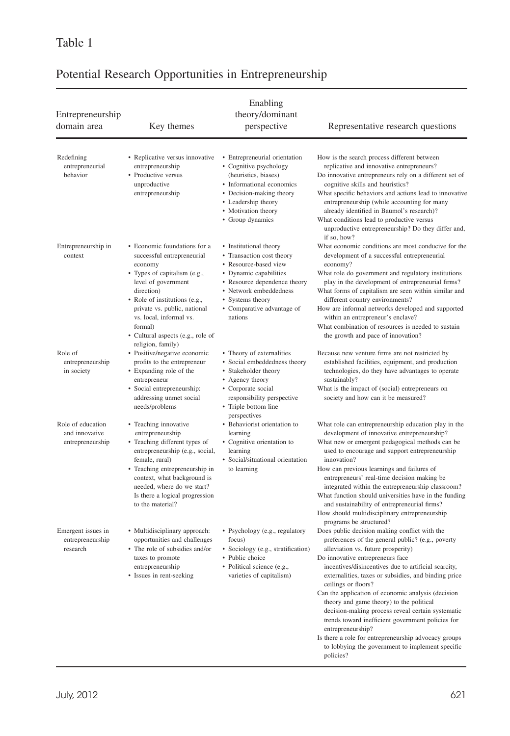| Entrepreneurship<br>domain area                         | Key themes                                                                                                                                                                                                                                                                             | Enabling<br>theory/dominant<br>perspective                                                                                                                                                                                    | Representative research questions                                                                                                                                                                                                                                                                                                                                                                                                                                                                                                                                                                            |
|---------------------------------------------------------|----------------------------------------------------------------------------------------------------------------------------------------------------------------------------------------------------------------------------------------------------------------------------------------|-------------------------------------------------------------------------------------------------------------------------------------------------------------------------------------------------------------------------------|--------------------------------------------------------------------------------------------------------------------------------------------------------------------------------------------------------------------------------------------------------------------------------------------------------------------------------------------------------------------------------------------------------------------------------------------------------------------------------------------------------------------------------------------------------------------------------------------------------------|
| Redefining<br>entrepreneurial<br>behavior               | • Replicative versus innovative<br>entrepreneurship<br>• Productive versus<br>unproductive<br>entrepreneurship                                                                                                                                                                         | • Entrepreneurial orientation<br>• Cognitive psychology<br>(heuristics, biases)<br>• Informational economics<br>• Decision-making theory<br>• Leadership theory<br>• Motivation theory<br>• Group dynamics                    | How is the search process different between<br>replicative and innovative entrepreneurs?<br>Do innovative entrepreneurs rely on a different set of<br>cognitive skills and heuristics?<br>What specific behaviors and actions lead to innovative<br>entrepreneurship (while accounting for many<br>already identified in Baumol's research)?<br>What conditions lead to productive versus<br>unproductive entrepreneurship? Do they differ and,<br>if so, how?                                                                                                                                               |
| Entrepreneurship in<br>context                          | • Economic foundations for a<br>successful entrepreneurial<br>economy<br>• Types of capitalism (e.g.,<br>level of government<br>direction)<br>• Role of institutions (e.g.,<br>private vs. public, national<br>vs. local, informal vs.<br>formal)<br>• Cultural aspects (e.g., role of | • Institutional theory<br>• Transaction cost theory<br>· Resource-based view<br>• Dynamic capabilities<br>• Resource dependence theory<br>• Network embeddedness<br>• Systems theory<br>• Comparative advantage of<br>nations | What economic conditions are most conducive for the<br>development of a successful entrepreneurial<br>economy?<br>What role do government and regulatory institutions<br>play in the development of entrepreneurial firms?<br>What forms of capitalism are seen within similar and<br>different country environments?<br>How are informal networks developed and supported<br>within an entrepreneur's enclave?<br>What combination of resources is needed to sustain<br>the growth and pace of innovation?                                                                                                  |
| Role of<br>entrepreneurship<br>in society               | religion, family)<br>• Positive/negative economic<br>profits to the entrepreneur<br>• Expanding role of the<br>entrepreneur<br>• Social entrepreneurship:<br>addressing unmet social<br>needs/problems                                                                                 | • Theory of externalities<br>• Social embeddedness theory<br>• Stakeholder theory<br>• Agency theory<br>• Corporate social<br>responsibility perspective<br>• Triple bottom line<br>perspectives                              | Because new venture firms are not restricted by<br>established facilities, equipment, and production<br>technologies, do they have advantages to operate<br>sustainably?<br>What is the impact of (social) entrepreneurs on<br>society and how can it be measured?                                                                                                                                                                                                                                                                                                                                           |
| Role of education<br>and innovative<br>entrepreneurship | • Teaching innovative<br>entrepreneurship<br>• Teaching different types of<br>entrepreneurship (e.g., social,<br>female, rural)<br>• Teaching entrepreneurship in<br>context, what background is<br>needed, where do we start?<br>Is there a logical progression<br>to the material?   | • Behaviorist orientation to<br>learning<br>• Cognitive orientation to<br>learning<br>• Social/situational orientation<br>to learning                                                                                         | What role can entrepreneurship education play in the<br>development of innovative entrepreneurship?<br>What new or emergent pedagogical methods can be<br>used to encourage and support entrepreneurship<br>innovation?<br>How can previous learnings and failures of<br>entrepreneurs' real-time decision making be<br>integrated within the entrepreneurship classroom?<br>What function should universities have in the funding<br>and sustainability of entrepreneurial firms?<br>How should multidisciplinary entrepreneurship<br>programs be structured?                                               |
| Emergent issues in<br>entrepreneurship<br>research      | • Multidisciplinary approach:<br>opportunities and challenges<br>• The role of subsidies and/or<br>taxes to promote<br>entrepreneurship<br>• Issues in rent-seeking                                                                                                                    | • Psychology (e.g., regulatory<br>focus)<br>· Sociology (e.g., stratification)<br>• Public choice<br>• Political science (e.g.,<br>varieties of capitalism)                                                                   | Does public decision making conflict with the<br>preferences of the general public? (e.g., poverty<br>alleviation vs. future prosperity)<br>Do innovative entrepreneurs face<br>incentives/disincentives due to artificial scarcity,<br>externalities, taxes or subsidies, and binding price<br>ceilings or floors?<br>Can the application of economic analysis (decision<br>theory and game theory) to the political<br>decision-making process reveal certain systematic<br>trends toward inefficient government policies for<br>entrepreneurship?<br>Is there a role for entrepreneurship advocacy groups |

# Potential Research Opportunities in Entrepreneurship

to lobbying the government to implement specific

policies?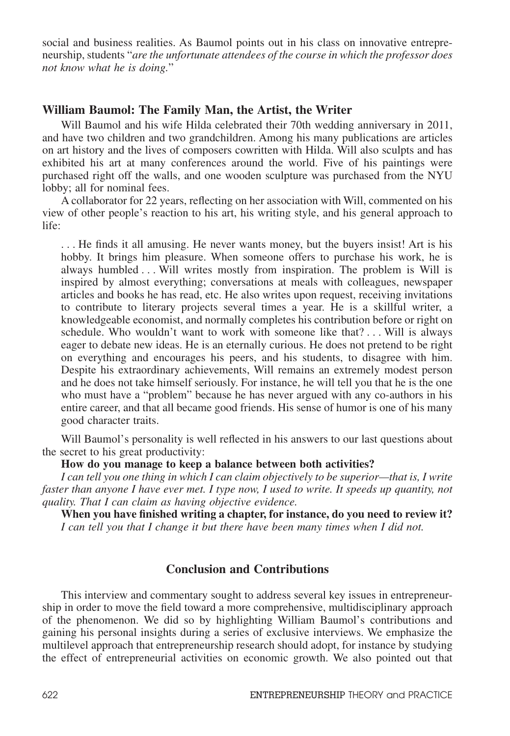social and business realities. As Baumol points out in his class on innovative entrepreneurship, students "*are the unfortunate attendees of the course in which the professor does not know what he is doing.*"

#### **William Baumol: The Family Man, the Artist, the Writer**

Will Baumol and his wife Hilda celebrated their 70th wedding anniversary in 2011, and have two children and two grandchildren. Among his many publications are articles on art history and the lives of composers cowritten with Hilda. Will also sculpts and has exhibited his art at many conferences around the world. Five of his paintings were purchased right off the walls, and one wooden sculpture was purchased from the NYU lobby; all for nominal fees.

A collaborator for 22 years, reflecting on her association with Will, commented on his view of other people's reaction to his art, his writing style, and his general approach to life:

. . . He finds it all amusing. He never wants money, but the buyers insist! Art is his hobby. It brings him pleasure. When someone offers to purchase his work, he is always humbled . . . Will writes mostly from inspiration. The problem is Will is inspired by almost everything; conversations at meals with colleagues, newspaper articles and books he has read, etc. He also writes upon request, receiving invitations to contribute to literary projects several times a year. He is a skillful writer, a knowledgeable economist, and normally completes his contribution before or right on schedule. Who wouldn't want to work with someone like that? . . . Will is always eager to debate new ideas. He is an eternally curious. He does not pretend to be right on everything and encourages his peers, and his students, to disagree with him. Despite his extraordinary achievements, Will remains an extremely modest person and he does not take himself seriously. For instance, he will tell you that he is the one who must have a "problem" because he has never argued with any co-authors in his entire career, and that all became good friends. His sense of humor is one of his many good character traits.

Will Baumol's personality is well reflected in his answers to our last questions about the secret to his great productivity:

#### **How do you manage to keep a balance between both activities?**

*I can tell you one thing in which I can claim objectively to be superior—that is, I write faster than anyone I have ever met. I type now, I used to write. It speeds up quantity, not quality. That I can claim as having objective evidence.*

**When you have finished writing a chapter, for instance, do you need to review it?** *I can tell you that I change it but there have been many times when I did not.*

#### **Conclusion and Contributions**

This interview and commentary sought to address several key issues in entrepreneurship in order to move the field toward a more comprehensive, multidisciplinary approach of the phenomenon. We did so by highlighting William Baumol's contributions and gaining his personal insights during a series of exclusive interviews. We emphasize the multilevel approach that entrepreneurship research should adopt, for instance by studying the effect of entrepreneurial activities on economic growth. We also pointed out that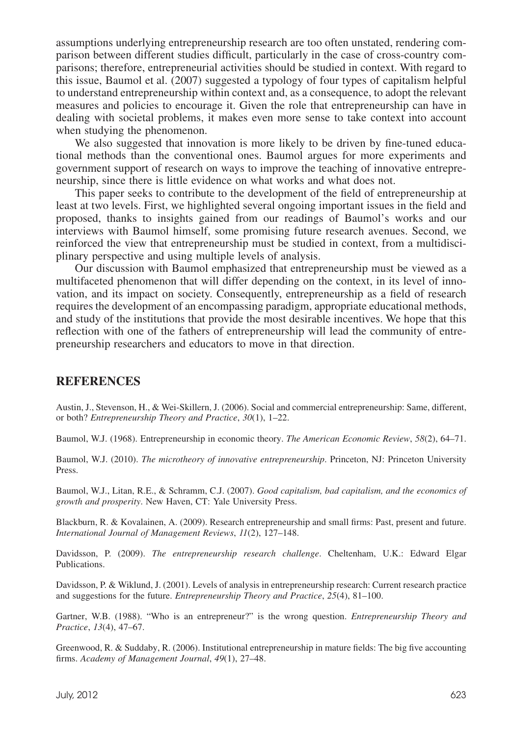assumptions underlying entrepreneurship research are too often unstated, rendering comparison between different studies difficult, particularly in the case of cross-country comparisons; therefore, entrepreneurial activities should be studied in context. With regard to this issue, Baumol et al. (2007) suggested a typology of four types of capitalism helpful to understand entrepreneurship within context and, as a consequence, to adopt the relevant measures and policies to encourage it. Given the role that entrepreneurship can have in dealing with societal problems, it makes even more sense to take context into account when studying the phenomenon.

We also suggested that innovation is more likely to be driven by fine-tuned educational methods than the conventional ones. Baumol argues for more experiments and government support of research on ways to improve the teaching of innovative entrepreneurship, since there is little evidence on what works and what does not.

This paper seeks to contribute to the development of the field of entrepreneurship at least at two levels. First, we highlighted several ongoing important issues in the field and proposed, thanks to insights gained from our readings of Baumol's works and our interviews with Baumol himself, some promising future research avenues. Second, we reinforced the view that entrepreneurship must be studied in context, from a multidisciplinary perspective and using multiple levels of analysis.

Our discussion with Baumol emphasized that entrepreneurship must be viewed as a multifaceted phenomenon that will differ depending on the context, in its level of innovation, and its impact on society. Consequently, entrepreneurship as a field of research requires the development of an encompassing paradigm, appropriate educational methods, and study of the institutions that provide the most desirable incentives. We hope that this reflection with one of the fathers of entrepreneurship will lead the community of entrepreneurship researchers and educators to move in that direction.

#### **REFERENCES**

Austin, J., Stevenson, H., & Wei-Skillern, J. (2006). Social and commercial entrepreneurship: Same, different, or both? *Entrepreneurship Theory and Practice*, *30*(1), 1–22.

Baumol, W.J. (1968). Entrepreneurship in economic theory. *The American Economic Review*, *58*(2), 64–71.

Baumol, W.J. (2010). *The microtheory of innovative entrepreneurship*. Princeton, NJ: Princeton University Press.

Baumol, W.J., Litan, R.E., & Schramm, C.J. (2007). *Good capitalism, bad capitalism, and the economics of growth and prosperity*. New Haven, CT: Yale University Press.

Blackburn, R. & Kovalainen, A. (2009). Research entrepreneurship and small firms: Past, present and future. *International Journal of Management Reviews*, *11*(2), 127–148.

Davidsson, P. (2009). *The entrepreneurship research challenge*. Cheltenham, U.K.: Edward Elgar Publications.

Davidsson, P. & Wiklund, J. (2001). Levels of analysis in entrepreneurship research: Current research practice and suggestions for the future. *Entrepreneurship Theory and Practice*, *25*(4), 81–100.

Gartner, W.B. (1988). "Who is an entrepreneur?" is the wrong question. *Entrepreneurship Theory and Practice*, *13*(4), 47–67.

Greenwood, R. & Suddaby, R. (2006). Institutional entrepreneurship in mature fields: The big five accounting firms. *Academy of Management Journal*, *49*(1), 27–48.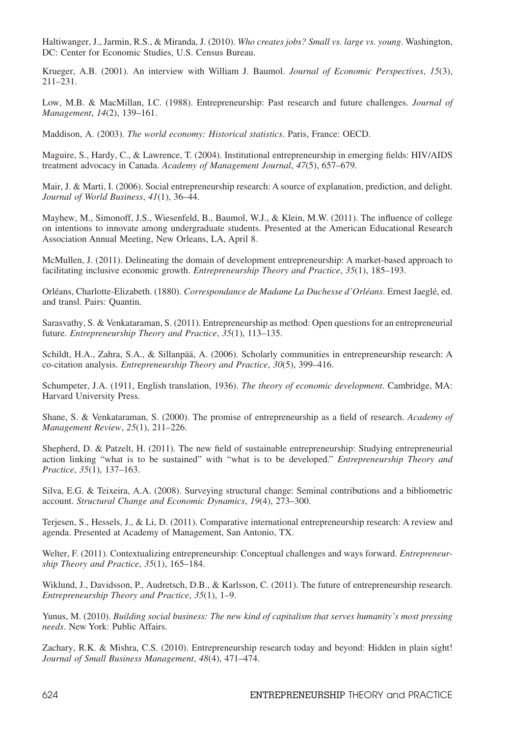Haltiwanger, J., Jarmin, R.S., & Miranda, J. (2010). *Who creates jobs? Small vs. large vs. young*. Washington, DC: Center for Economic Studies, U.S. Census Bureau.

Krueger, A.B. (2001). An interview with William J. Baumol. *Journal of Economic Perspectives*, *15*(3), 211–231.

Low, M.B. & MacMillan, I.C. (1988). Entrepreneurship: Past research and future challenges. *Journal of Management*, *14*(2), 139–161.

Maddison, A. (2003). *The world economy: Historical statistics*. Paris, France: OECD.

Maguire, S., Hardy, C., & Lawrence, T. (2004). Institutional entrepreneurship in emerging fields: HIV/AIDS treatment advocacy in Canada. *Academy of Management Journal*, *47*(5), 657–679.

Mair, J. & Marti, I. (2006). Social entrepreneurship research: A source of explanation, prediction, and delight. *Journal of World Business*, *41*(1), 36–44.

Mayhew, M., Simonoff, J.S., Wiesenfeld, B., Baumol, W.J., & Klein, M.W. (2011). The influence of college on intentions to innovate among undergraduate students. Presented at the American Educational Research Association Annual Meeting, New Orleans, LA, April 8.

McMullen, J. (2011). Delineating the domain of development entrepreneurship: A market-based approach to facilitating inclusive economic growth. *Entrepreneurship Theory and Practice*, *35*(1), 185–193.

Orléans, Charlotte-Elizabeth. (1880). *Correspondance de Madame La Duchesse d'Orléans*. Ernest Jaeglé, ed. and transl. Pairs: Quantin.

Sarasvathy, S. & Venkataraman, S. (2011). Entrepreneurship as method: Open questions for an entrepreneurial future. *Entrepreneurship Theory and Practice*, *35*(1), 113–135.

Schildt, H.A., Zahra, S.A., & Sillanpää, A. (2006). Scholarly communities in entrepreneurship research: A co-citation analysis. *Entrepreneurship Theory and Practice*, *30*(5), 399–416.

Schumpeter, J.A. (1911, English translation, 1936). *The theory of economic development*. Cambridge, MA: Harvard University Press.

Shane, S. & Venkataraman, S. (2000). The promise of entrepreneurship as a field of research. *Academy of Management Review*, *25*(1), 211–226.

Shepherd, D. & Patzelt, H. (2011). The new field of sustainable entrepreneurship: Studying entrepreneurial action linking "what is to be sustained" with "what is to be developed." *Entrepreneurship Theory and Practice*, *35*(1), 137–163.

Silva, E.G. & Teixeira, A.A. (2008). Surveying structural change: Seminal contributions and a bibliometric account. *Structural Change and Economic Dynamics*, *19*(4), 273–300.

Terjesen, S., Hessels, J., & Li, D. (2011). Comparative international entrepreneurship research: A review and agenda. Presented at Academy of Management, San Antonio, TX.

Welter, F. (2011). Contextualizing entrepreneurship: Conceptual challenges and ways forward. *Entrepreneurship Theory and Practice*, *35*(1), 165–184.

Wiklund, J., Davidsson, P., Audretsch, D.B., & Karlsson, C. (2011). The future of entrepreneurship research. *Entrepreneurship Theory and Practice*, *35*(1), 1–9.

Yunus, M. (2010). *Building social business: The new kind of capitalism that serves humanity's most pressing needs*. New York: Public Affairs.

Zachary, R.K. & Mishra, C.S. (2010). Entrepreneurship research today and beyond: Hidden in plain sight! *Journal of Small Business Management*, *48*(4), 471–474.